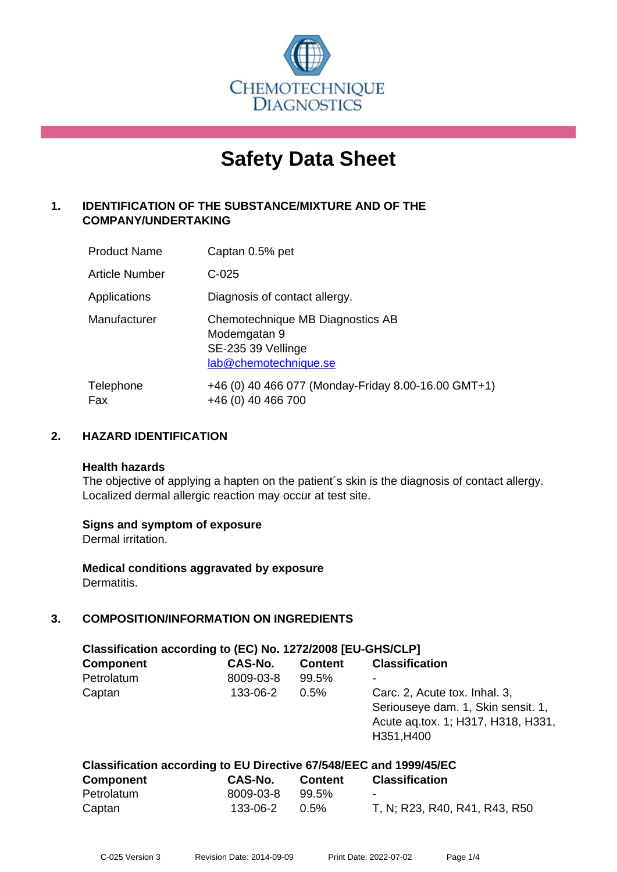

# **Safety Data Sheet**

# **1. IDENTIFICATION OF THE SUBSTANCE/MIXTURE AND OF THE COMPANY/UNDERTAKING**

| <b>Product Name</b> | Captan 0.5% pet                                                                                 |
|---------------------|-------------------------------------------------------------------------------------------------|
| Article Number      | $C-025$                                                                                         |
| Applications        | Diagnosis of contact allergy.                                                                   |
| Manufacturer        | Chemotechnique MB Diagnostics AB<br>Modemgatan 9<br>SE-235 39 Vellinge<br>lab@chemotechnique.se |
| Telephone<br>Fax    | +46 (0) 40 466 077 (Monday-Friday 8.00-16.00 GMT+1)<br>+46 (0) 40 466 700                       |

## **2. HAZARD IDENTIFICATION**

#### **Health hazards**

The objective of applying a hapten on the patient's skin is the diagnosis of contact allergy. Localized dermal allergic reaction may occur at test site.

#### **Signs and symptom of exposure**

Dermal irritation.

**Medical conditions aggravated by exposure** Dermatitis.

# **3. COMPOSITION/INFORMATION ON INGREDIENTS**

| Classification according to (EC) No. 1272/2008 [EU-GHS/CLP] |           |                |                                                                                                                         |  |  |
|-------------------------------------------------------------|-----------|----------------|-------------------------------------------------------------------------------------------------------------------------|--|--|
| <b>Component</b>                                            | CAS-No.   | <b>Content</b> | <b>Classification</b>                                                                                                   |  |  |
| Petrolatum                                                  | 8009-03-8 | 99.5%          |                                                                                                                         |  |  |
| Captan                                                      | 133-06-2  | 0.5%           | Carc. 2, Acute tox. Inhal. 3,<br>Seriouseye dam. 1, Skin sensit. 1,<br>Acute ag.tox. 1; H317, H318, H331,<br>H351, H400 |  |  |

| Classification according to EU Directive 67/548/EEC and 1999/45/EC |           |         |                               |  |
|--------------------------------------------------------------------|-----------|---------|-------------------------------|--|
| <b>Component</b>                                                   | CAS-No.   | Content | Classification                |  |
| Petrolatum                                                         | 8009-03-8 | 99.5%   | $\blacksquare$                |  |
| Captan                                                             | 133-06-2  | $0.5\%$ | T, N; R23, R40, R41, R43, R50 |  |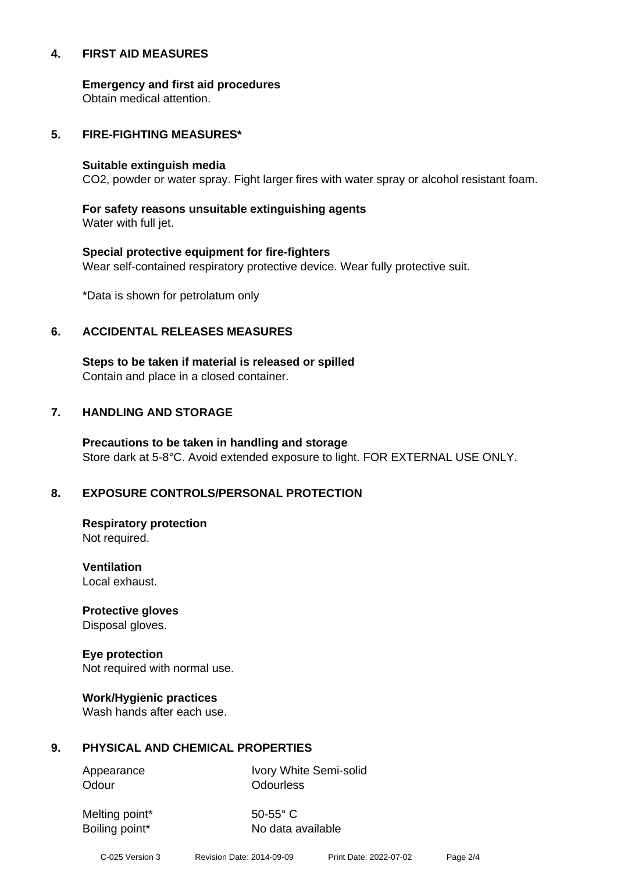#### **4. FIRST AID MEASURES**

**Emergency and first aid procedures**

Obtain medical attention.

#### **5. FIRE-FIGHTING MEASURES\***

#### **Suitable extinguish media**

CO2, powder or water spray. Fight larger fires with water spray or alcohol resistant foam.

# **For safety reasons unsuitable extinguishing agents**

Water with full jet.

# **Special protective equipment for fire-fighters** Wear self-contained respiratory protective device. Wear fully protective suit.

\*Data is shown for petrolatum only

## **6. ACCIDENTAL RELEASES MEASURES**

**Steps to be taken if material is released or spilled** Contain and place in a closed container.

# **7. HANDLING AND STORAGE**

**Precautions to be taken in handling and storage** Store dark at 5-8°C. Avoid extended exposure to light. FOR EXTERNAL USE ONLY.

# **8. EXPOSURE CONTROLS/PERSONAL PROTECTION**

**Respiratory protection** Not required.

**Ventilation** Local exhaust.

**Protective gloves** Disposal gloves.

# **Eye protection**

Not required with normal use.

#### **Work/Hygienic practices**

Wash hands after each use.

#### **9. PHYSICAL AND CHEMICAL PROPERTIES**

Odour **Odourless** 

Appearance Ivory White Semi-solid

Melting point\* 50-55° C

Boiling point\* No data available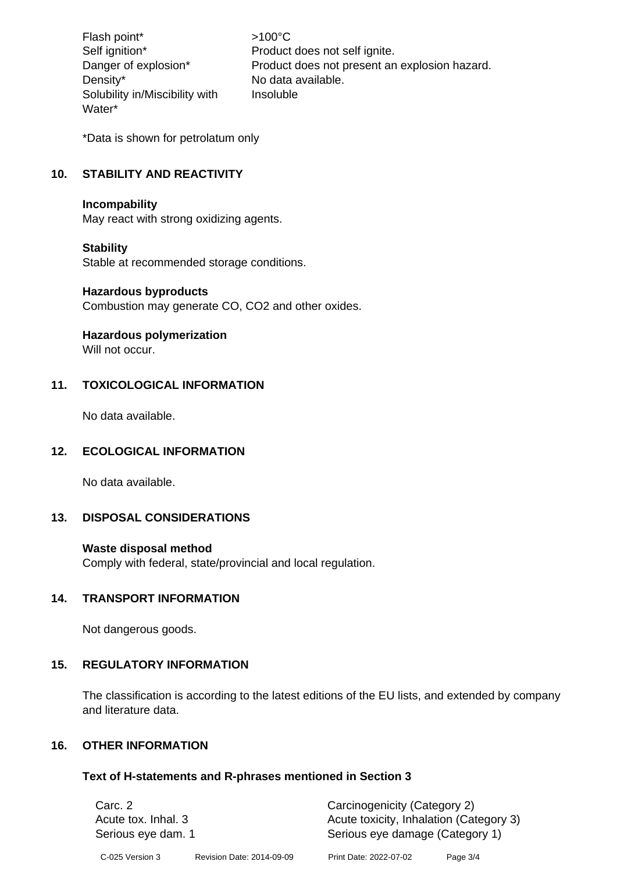Flash point\*  $>100^{\circ}$ C Density\* No data available. Solubility in/Miscibility with Water\*

Self ignition\* Product does not self ignite. Danger of explosion\* Product does not present an explosion hazard. Insoluble

\*Data is shown for petrolatum only

# **10. STABILITY AND REACTIVITY**

#### **Incompability**

May react with strong oxidizing agents.

#### **Stability**

Stable at recommended storage conditions.

#### **Hazardous byproducts**

Combustion may generate CO, CO2 and other oxides.

#### **Hazardous polymerization**

Will not occur.

#### **11. TOXICOLOGICAL INFORMATION**

No data available.

#### **12. ECOLOGICAL INFORMATION**

No data available.

# **13. DISPOSAL CONSIDERATIONS**

#### **Waste disposal method**

Comply with federal, state/provincial and local regulation.

#### **14. TRANSPORT INFORMATION**

Not dangerous goods.

#### **15. REGULATORY INFORMATION**

The classification is according to the latest editions of the EU lists, and extended by company and literature data.

#### **16. OTHER INFORMATION**

#### **Text of H-statements and R-phrases mentioned in Section 3**

| Carc. 2<br>Acute tox. Inhal. 3<br>Serious eye dam. 1 |                           |                        | Carcinogenicity (Category 2)<br>Acute toxicity, Inhalation (Category 3)<br>Serious eye damage (Category 1) |  |
|------------------------------------------------------|---------------------------|------------------------|------------------------------------------------------------------------------------------------------------|--|
| C-025 Version 3                                      | Revision Date: 2014-09-09 | Print Date: 2022-07-02 | Page 3/4                                                                                                   |  |